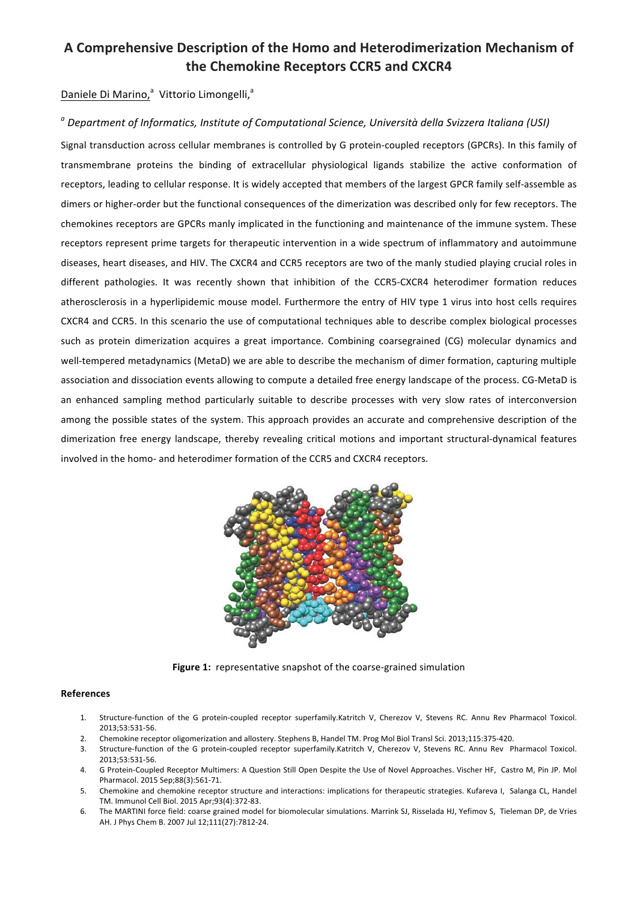## A Comprehensive Description of the Homo and Heterodimerization Mechanism of **the Chemokine Receptors CCR5 and CXCR4**

## Daniele Di Marino,<sup>a</sup> Vittorio Limongelli,<sup>a</sup>

## <sup>*a*</sup> Department of Informatics, Institute of Computational Science, Università della Svizzera Italiana (USI)

Signal transduction across cellular membranes is controlled by G protein-coupled receptors (GPCRs). In this family of transmembrane proteins the binding of extracellular physiological ligands stabilize the active conformation of receptors, leading to cellular response. It is widely accepted that members of the largest GPCR family self-assemble as dimers or higher-order but the functional consequences of the dimerization was described only for few receptors. The chemokines receptors are GPCRs manly implicated in the functioning and maintenance of the immune system. These receptors represent prime targets for therapeutic intervention in a wide spectrum of inflammatory and autoimmune diseases, heart diseases, and HIV. The CXCR4 and CCR5 receptors are two of the manly studied playing crucial roles in different pathologies. It was recently shown that inhibition of the CCR5-CXCR4 heterodimer formation reduces atherosclerosis in a hyperlipidemic mouse model. Furthermore the entry of HIV type 1 virus into host cells requires CXCR4 and CCR5. In this scenario the use of computational techniques able to describe complex biological processes such as protein dimerization acquires a great importance. Combining coarsegrained (CG) molecular dynamics and well-tempered metadynamics (MetaD) we are able to describe the mechanism of dimer formation, capturing multiple association and dissociation events allowing to compute a detailed free energy landscape of the process. CG-MetaD is an enhanced sampling method particularly suitable to describe processes with very slow rates of interconversion among the possible states of the system. This approach provides an accurate and comprehensive description of the dimerization free energy landscape, thereby revealing critical motions and important structural-dynamical features involved in the homo- and heterodimer formation of the CCR5 and CXCR4 receptors.



**Figure 1:** representative snapshot of the coarse-grained simulation

## **References**

- 1. Structure-function of the G protein-coupled receptor superfamily.Katritch V, Cherezov V, Stevens RC. Annu Rev Pharmacol Toxicol. 2013;53:531-56.
- 2. Chemokine receptor oligomerization and allostery. Stephens B, Handel TM. Prog Mol Biol Transl Sci. 2013;115:375-420.
- 3. Structure-function of the G protein-coupled receptor superfamily.Katritch V, Cherezov V, Stevens RC. Annu Rev Pharmacol Toxicol. 2013;53:531-56.
- 4. G Protein-Coupled Receptor Multimers: A Question Still Open Despite the Use of Novel Approaches. Vischer HF, Castro M, Pin JP. Mol Pharmacol. 2015 Sep;88(3):561-71.
- 5. Chemokine and chemokine receptor structure and interactions: implications for therapeutic strategies. Kufareva I, Salanga CL, Handel TM. Immunol Cell Biol. 2015 Apr;93(4):372-83.
- 6. The MARTINI force field: coarse grained model for biomolecular simulations. Marrink SJ, Risselada HJ, Yefimov S, Tieleman DP, de Vries AH. J Phys Chem B. 2007 Jul 12;111(27):7812-24.